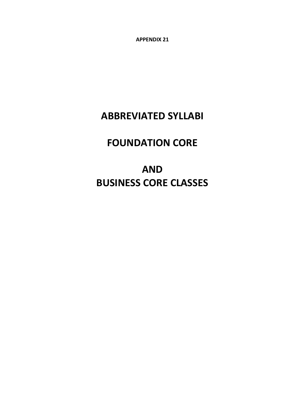**APPENDIX 21**

# **ABBREVIATED SYLLABI**

# **FOUNDATION CORE**

**AND BUSINESS CORE CLASSES**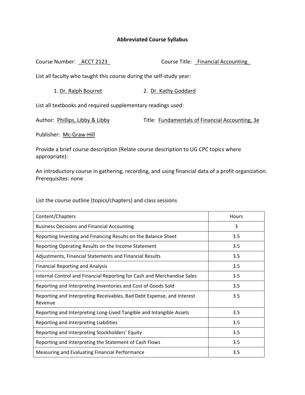Course Number: \_ACCT 2123\_ Course Title: \_Financial Accounting\_

List all faculty who taught this course during the self‐study year:

1. Dr. Ralph Bourret 2. Dr. Kathy Goddard

List all textbooks and required supplementary readings used:

Author: Phillips, Libby & Libby Title: Fundamentals of Financial Accounting, 3e

Publisher: Mc‐Graw‐Hill

Provide a brief course description (Relate course description to UG CPC topics where appropriate):

An introductory course in gathering, recording, and using financial data of a profit organization. Prerequisites: none

| Content/Chapters                                                                  | Hours |
|-----------------------------------------------------------------------------------|-------|
| <b>Business Decisions and Financial Accounting</b>                                | 3     |
| Reporting Investing and Financing Results on the Balance Sheet                    | 3.5   |
| Reporting Operating Results on the Income Statement                               | 3.5   |
| Adjustments, Financial Statements and Financial Results                           | 3.5   |
| <b>Financial Reporting and Analysis</b>                                           | 3.5   |
| Internal Control and Financial Reporting for Cash and Merchandise Sales           | 3.5   |
| Reporting and Interpreting Inventories and Cost of Goods Sold                     | 3.5   |
| Reporting and Interpreting Receivables, Bad Debt Expense, and Interest<br>Revenue | 3.5   |
| Reporting and Interpreting Long-Lived Tangible and Intangible Assets              | 3.5   |
| Reporting and Interpreting Liabilities                                            | 3.5   |
| Reporting and Interpreting Stockholders' Equity                                   | 3.5   |
| Reporting and Interpreting the Statement of Cash Flows                            | 3.5   |
| Measuring and Evaluating Financial Performance                                    | 3.5   |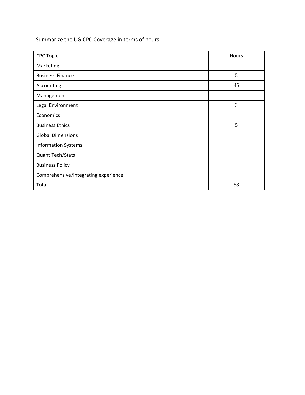| <b>CPC Topic</b>                     | Hours |
|--------------------------------------|-------|
| Marketing                            |       |
| <b>Business Finance</b>              | 5     |
| Accounting                           | 45    |
| Management                           |       |
| Legal Environment                    | 3     |
| Economics                            |       |
| <b>Business Ethics</b>               | 5     |
| <b>Global Dimensions</b>             |       |
| <b>Information Systems</b>           |       |
| Quant Tech/Stats                     |       |
| <b>Business Policy</b>               |       |
| Comprehensive/integrating experience |       |
| Total                                | 58    |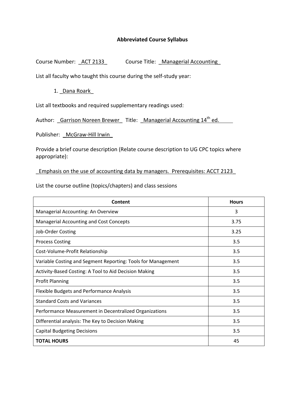Course Number: <u>ACT 2133</u> Course Title: Managerial Accounting

List all faculty who taught this course during the self‐study year:

#### 1. \_Dana Roark\_

List all textbooks and required supplementary readings used:

Author: Garrison Noreen Brewer\_ Title: Managerial Accounting 14<sup>th</sup> ed.

Publisher: McGraw-Hill Irwin

Provide a brief course description (Relate course description to UG CPC topics where appropriate):

\_Emphasis on the use of accounting data by managers. Prerequisites: ACCT 2123\_

| Content                                                      | <b>Hours</b> |
|--------------------------------------------------------------|--------------|
| Managerial Accounting: An Overview                           | 3            |
| <b>Managerial Accounting and Cost Concepts</b>               | 3.75         |
| Job-Order Costing                                            | 3.25         |
| <b>Process Costing</b>                                       | 3.5          |
| Cost-Volume-Profit Relationship                              | 3.5          |
| Variable Costing and Segment Reporting: Tools for Management | 3.5          |
| Activity-Based Costing: A Tool to Aid Decision Making        | 3.5          |
| <b>Profit Planning</b>                                       | 3.5          |
| Flexible Budgets and Performance Analysis                    | 3.5          |
| <b>Standard Costs and Variances</b>                          | 3.5          |
| Performance Measurement in Decentralized Organizations       | 3.5          |
| Differential analysis: The Key to Decision Making            | 3.5          |
| <b>Capital Budgeting Decisions</b>                           | 3.5          |
| <b>TOTAL HOURS</b>                                           | 45           |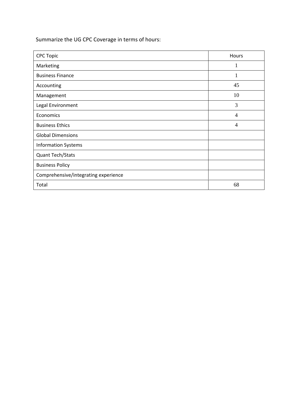| <b>CPC Topic</b>                     | Hours          |
|--------------------------------------|----------------|
| Marketing                            | 1              |
| <b>Business Finance</b>              | 1              |
| Accounting                           | 45             |
| Management                           | 10             |
| Legal Environment                    | 3              |
| Economics                            | $\overline{4}$ |
| <b>Business Ethics</b>               | 4              |
| <b>Global Dimensions</b>             |                |
| <b>Information Systems</b>           |                |
| Quant Tech/Stats                     |                |
| <b>Business Policy</b>               |                |
| Comprehensive/integrating experience |                |
| Total                                | 68             |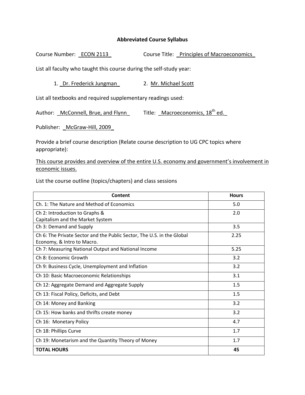Course Number: ECON 2113 Course Title: Principles of Macroeconomics

List all faculty who taught this course during the self-study year:

1. Dr. Frederick Jungman 2. Mr. Michael Scott

List all textbooks and required supplementary readings used:

| Author: McConnell, Brue, and Flynn |  | Title: Macroeconomics, 18 <sup>th</sup> ed. |  |
|------------------------------------|--|---------------------------------------------|--|
|------------------------------------|--|---------------------------------------------|--|

Publisher: McGraw-Hill, 2009

Provide a brief course description (Relate course description to UG CPC topics where appropriate):

### This course provides and overview of the entire U.S. economy and government's involvement in economic issues.

| Content                                                                | <b>Hours</b> |
|------------------------------------------------------------------------|--------------|
| Ch. 1: The Nature and Method of Economics                              | 5.0          |
| Ch 2: Introduction to Graphs &                                         | 2.0          |
| Capitalism and the Market System                                       |              |
| Ch 3: Demand and Supply                                                | 3.5          |
| Ch 6: The Private Sector and the Public Sector, The U.S. in the Global | 2.25         |
| Economy, & Intro to Macro.                                             |              |
| Ch 7: Measuring National Output and National Income                    | 5.25         |
| Ch 8: Economic Growth                                                  | 3.2          |
| Ch 9: Business Cycle, Unemployment and Inflation                       | 3.2          |
| Ch 10: Basic Macroeconomic Relationships                               | 3.1          |
| Ch 12: Aggregate Demand and Aggregate Supply                           | 1.5          |
| Ch 13: Fiscal Policy, Deficits, and Debt                               | 1.5          |
| Ch 14: Money and Banking                                               | 3.2          |
| Ch 15: How banks and thrifts create money                              | 3.2          |
| Ch 16: Monetary Policy                                                 | 4.7          |
| Ch 18: Phillips Curve                                                  | 1.7          |
| Ch 19: Monetarism and the Quantity Theory of Money                     | 1.7          |
| <b>TOTAL HOURS</b>                                                     | 45           |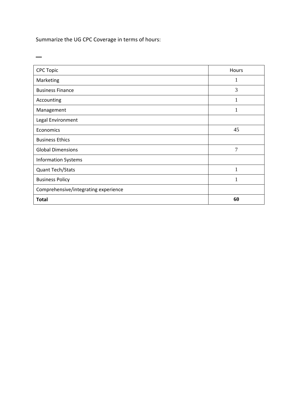$\overline{\phantom{0}}$ 

| <b>CPC Topic</b>                     | Hours        |
|--------------------------------------|--------------|
| Marketing                            | 1            |
| <b>Business Finance</b>              | 3            |
| Accounting                           |              |
| Management                           | 1            |
| Legal Environment                    |              |
| Economics                            | 45           |
| <b>Business Ethics</b>               |              |
| <b>Global Dimensions</b>             | 7            |
| <b>Information Systems</b>           |              |
| Quant Tech/Stats                     | $\mathbf{1}$ |
| <b>Business Policy</b>               |              |
| Comprehensive/integrating experience |              |
| <b>Total</b>                         | 60           |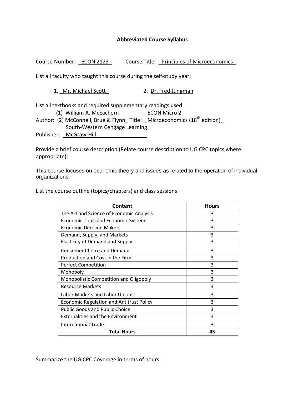Course Number: ECON 2123 Course Title: Principles of Microeconomics

List all faculty who taught this course during the self‐study year:

1. Mr. Michael Scott 2. Dr. Fred Jungman

List all textbooks and required supplementary readings used:

(1) William A. McEachern **ECON Micro 2** 

Author: (2) McConnell, Brue & Flynn\_ Title: \_Microeconomics (18<sup>th</sup> edition) South‐Western Cengage Learning

Publisher: McGraw-Hill

Provide a brief course description (Relate course description to UG CPC topics where appropriate):

This course focuses on economic theory and issues as related to the operation of individual organizations.

List the course outline (topics/chapters) and class sessions

| Content                                         | <b>Hours</b> |
|-------------------------------------------------|--------------|
| The Art and Science of Economic Analysis        | 3            |
| <b>Economic Tools and Economic Systems</b>      | 3            |
| <b>Economic Decision Makers</b>                 | 3            |
| Demand, Supply, and Markets                     | 3            |
| <b>Elasticity of Demand and Supply</b>          | 3            |
| <b>Consumer Choice and Demand</b>               | 3            |
| Production and Cost in the Firm                 | 3            |
| <b>Perfect Competition</b>                      | 3            |
| Monopoly                                        | 3            |
| Monopolistic Competition and Oligopoly          | 3            |
| <b>Resource Markets</b>                         | 3            |
| Labor Markets and Labor Unions                  | 3            |
| <b>Economic Regulation and Antitrust Policy</b> | 3            |
| <b>Public Goods and Public Choice</b>           | 3            |
| <b>Externalities and the Environment</b>        | 3            |
| <b>International Trade</b>                      | 3            |
| <b>Total Hours</b>                              | 45           |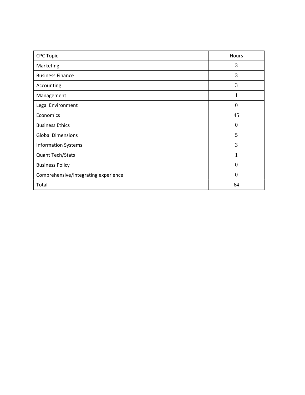| <b>CPC Topic</b>                     | Hours    |
|--------------------------------------|----------|
| Marketing                            | 3        |
| <b>Business Finance</b>              | 3        |
| Accounting                           | 3        |
| Management                           | 1        |
| Legal Environment                    | $\theta$ |
| Economics                            | 45       |
| <b>Business Ethics</b>               | $\Omega$ |
| <b>Global Dimensions</b>             | 5        |
| <b>Information Systems</b>           | 3        |
| <b>Quant Tech/Stats</b>              | 1        |
| <b>Business Policy</b>               | $\Omega$ |
| Comprehensive/integrating experience | $\Omega$ |
| Total                                | 64       |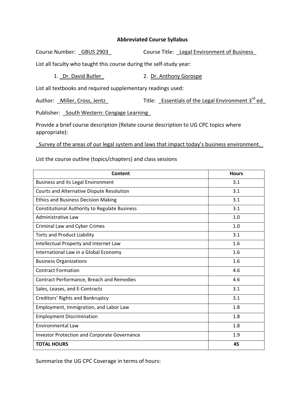Course Number: GBUS 2903 Course Title: Legal Environment of Business List all faculty who taught this course during the self-study year:

1. Dr. David Butler 2. Dr. Anthony Gorospe

List all textbooks and required supplementary readings used:

Author: Miller, Cross, Jentz Title: Essentials of the Legal Environment 3<sup>rd</sup> ed

Publisher: South Western: Cengage Learning

Provide a brief course description (Relate course description to UG CPC topics where appropriate):

\_Survey of the areas of our legal system and laws that impact today's business environment.\_

List the course outline (topics/chapters) and class sessions

| Content                                             | <b>Hours</b> |
|-----------------------------------------------------|--------------|
| Business and its Legal Environment                  | 3.1          |
| Courts and Alternative Dispute Resolution           | 3.1          |
| <b>Ethics and Business Decision Making</b>          | 3.1          |
| Constitutional Authority to Regulate Business       | 3.1          |
| Administrative Law                                  | 1.0          |
| Criminal Law and Cyber Crimes                       | 1.0          |
| <b>Torts and Product Liability</b>                  | 3.1          |
| Intellectual Property and Internet Law              | 1.6          |
| International Law in a Global Economy               | 1.6          |
| <b>Business Organizations</b>                       | 1.6          |
| <b>Contract Formation</b>                           | 4.6          |
| Contract Performance, Breach and Remedies           | 4.6          |
| Sales, Leases, and E-Contracts                      | 3.1          |
| Creditors' Rights and Bankruptcy                    | 3.1          |
| Employment, Immigration, and Labor Law              | 1.8          |
| <b>Employment Discrimination</b>                    | 1.8          |
| <b>Environmental Law</b>                            | 1.8          |
| <b>Investor Protection and Corporate Governance</b> | 1.9          |
| <b>TOTAL HOURS</b>                                  | 45           |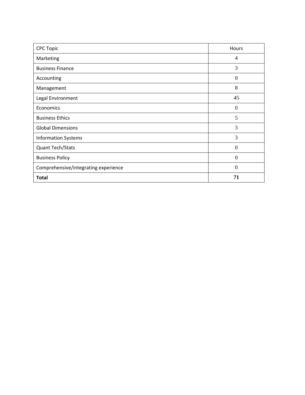| <b>CPC Topic</b>                     | Hours          |
|--------------------------------------|----------------|
| Marketing                            | $\overline{4}$ |
| <b>Business Finance</b>              | 3              |
| Accounting                           | $\theta$       |
| Management                           | 8              |
| Legal Environment                    | 45             |
| Economics                            | $\Omega$       |
| <b>Business Ethics</b>               | 5              |
| <b>Global Dimensions</b>             | 3              |
| <b>Information Systems</b>           | 3              |
| Quant Tech/Stats                     | $\Omega$       |
| <b>Business Policy</b>               | 0              |
| Comprehensive/integrating experience | $\Omega$       |
| <b>Total</b>                         | 71             |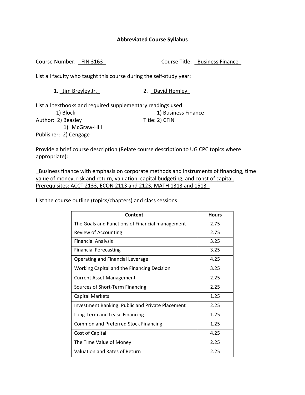Course Number: FIN 3163 Course Title: Business Finance

List all faculty who taught this course during the self‐study year:

1. Jim Breyley Jr. 2. David Hemley

List all textbooks and required supplementary readings used: 1) Block 1) Business Finance

Author: 2) Beasley Title: 2) CFIN

1) McGraw‐Hill

Publisher: 2) Cengage

Provide a brief course description (Relate course description to UG CPC topics where appropriate):

\_Business finance with emphasis on corporate methods and instruments of financing, time value of money, risk and return, valuation, capital budgeting, and const of capital. Prerequisites: ACCT 2133, ECON 2113 and 2123, MATH 1313 and 1513\_

| Content                                                 | <b>Hours</b> |
|---------------------------------------------------------|--------------|
| The Goals and Functions of Financial management         | 2.75         |
| Review of Accounting                                    | 2.75         |
| <b>Financial Analysis</b>                               | 3.25         |
| <b>Financial Forecasting</b>                            | 3.25         |
| Operating and Financial Leverage                        | 4.25         |
| Working Capital and the Financing Decision              | 3.25         |
| Current Asset Management                                | 2.25         |
| Sources of Short-Term Financing                         | 2.25         |
| <b>Capital Markets</b>                                  | 1.25         |
| <b>Investment Banking: Public and Private Placement</b> | 2.25         |
| Long-Term and Lease Financing                           | 1.25         |
| <b>Common and Preferred Stock Financing</b>             | 1.25         |
| Cost of Capital                                         | 4.25         |
| The Time Value of Money                                 | 2.25         |
| Valuation and Rates of Return                           | 2.25         |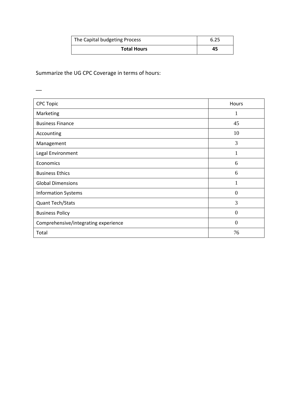| The Capital budgeting Process | 6.25 |
|-------------------------------|------|
| <b>Total Hours</b>            | 45   |

\_\_

| <b>CPC Topic</b>                     | Hours          |
|--------------------------------------|----------------|
| Marketing                            | 1              |
| <b>Business Finance</b>              | 45             |
| Accounting                           | 10             |
| Management                           | 3              |
| Legal Environment                    | 1              |
| Economics                            | 6              |
| <b>Business Ethics</b>               | 6              |
| <b>Global Dimensions</b>             | 1              |
| <b>Information Systems</b>           | $\overline{0}$ |
| Quant Tech/Stats                     | 3              |
| <b>Business Policy</b>               | $\theta$       |
| Comprehensive/integrating experience | $\overline{0}$ |
| Total                                | 76             |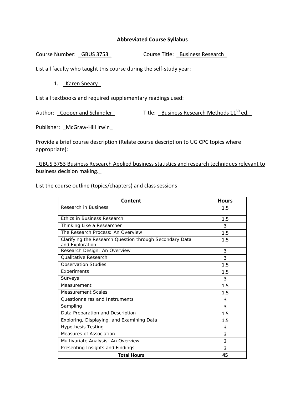Course Number: GBUS 3753\_ Course Title: Business Research

List all faculty who taught this course during the self-study year:

1. Karen Sneary

List all textbooks and required supplementary readings used:

Author: Cooper and Schindler Title: Business Research Methods 11<sup>th</sup> ed.

Publisher: McGraw-Hill Irwin

Provide a brief course description (Relate course description to UG CPC topics where appropriate):

\_GBUS 3753 Business Research Applied business statistics and research techniques relevant to business decision making.\_

| Content                                                                    | <b>Hours</b> |
|----------------------------------------------------------------------------|--------------|
| Research in Business                                                       | 1.5          |
| <b>Ethics in Business Research</b>                                         | 1.5          |
| Thinking Like a Researcher                                                 | 3            |
| The Research Process: An Overview                                          | 1.5          |
| Clarifying the Research Question through Secondary Data<br>and Exploration | 1.5          |
| Research Design: An Overview                                               | 3            |
| <b>Oualitative Research</b>                                                | 3            |
| <b>Observation Studies</b>                                                 | 1.5          |
| Experiments                                                                | 1.5          |
| Surveys                                                                    | 3            |
| Measurement                                                                | 1.5          |
| <b>Measurement Scales</b>                                                  | 1.5          |
| Questionnaires and Instruments                                             | 3            |
| Sampling                                                                   | 3            |
| Data Preparation and Description                                           | 1.5          |
| Exploring, Displaying, and Examining Data                                  | 1.5          |
| <b>Hypothesis Testing</b>                                                  | 3            |
| Measures of Association                                                    | 3            |
| Multivariate Analysis: An Overview                                         | 3            |
| Presenting Insights and Findings                                           | 3            |
| <b>Total Hours</b>                                                         | 45           |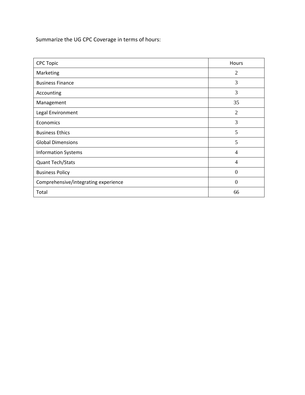| <b>CPC Topic</b>                     | Hours          |
|--------------------------------------|----------------|
| Marketing                            | $\overline{2}$ |
| <b>Business Finance</b>              | 3              |
| Accounting                           | 3              |
| Management                           | 35             |
| Legal Environment                    | $\overline{2}$ |
| Economics                            | 3              |
| <b>Business Ethics</b>               | 5              |
| <b>Global Dimensions</b>             | 5              |
| <b>Information Systems</b>           | 4              |
| Quant Tech/Stats                     | 4              |
| <b>Business Policy</b>               | $\theta$       |
| Comprehensive/integrating experience | $\theta$       |
| Total                                | 66             |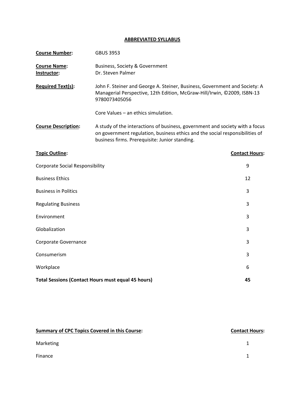### **ABBREVIATED SYLLABUS**

| <b>Course Number:</b>                       | <b>GBUS 3953</b>                                                                                                                                                                                               |                       |
|---------------------------------------------|----------------------------------------------------------------------------------------------------------------------------------------------------------------------------------------------------------------|-----------------------|
| <b>Course Name:</b><br>Instructor:          | <b>Business, Society &amp; Government</b><br>Dr. Steven Palmer                                                                                                                                                 |                       |
| <b>Required Text(s):</b>                    | John F. Steiner and George A. Steiner, Business, Government and Society: A<br>Managerial Perspective, 12th Edition, McGraw-Hill/Irwin, ©2009, ISBN-13<br>9780073405056                                         |                       |
|                                             | Core Values - an ethics simulation.                                                                                                                                                                            |                       |
| <b>Course Description:</b>                  | A study of the interactions of business, government and society with a focus<br>on government regulation, business ethics and the social responsibilities of<br>business firms. Prerequisite: Junior standing. |                       |
| <b>Topic Outline:</b>                       |                                                                                                                                                                                                                | <b>Contact Hours:</b> |
| 9<br><b>Corporate Social Responsibility</b> |                                                                                                                                                                                                                |                       |
| <b>Business Ethics</b>                      |                                                                                                                                                                                                                | 12                    |
| <b>Business in Politics</b>                 | 3                                                                                                                                                                                                              |                       |
| 3<br><b>Regulating Business</b>             |                                                                                                                                                                                                                |                       |
| Environment                                 |                                                                                                                                                                                                                | 3                     |
| Globalization                               |                                                                                                                                                                                                                | 3                     |
| Corporate Governance                        |                                                                                                                                                                                                                | 3                     |
| Consumerism                                 |                                                                                                                                                                                                                | 3                     |
| Workplace<br>6                              |                                                                                                                                                                                                                |                       |
|                                             | <b>Total Sessions (Contact Hours must equal 45 hours)</b>                                                                                                                                                      | 45                    |

| <b>Summary of CPC Topics Covered in this Course:</b> | <b>Contact Hours:</b> |
|------------------------------------------------------|-----------------------|
| Marketing                                            |                       |
| Finance                                              |                       |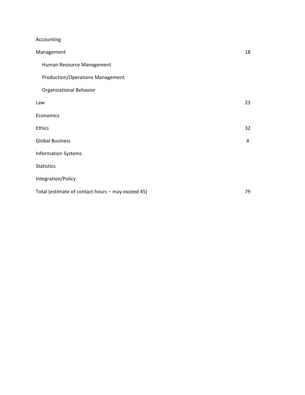# Accounting

| Management                                        | 18 |
|---------------------------------------------------|----|
| Human Resource Management                         |    |
| <b>Production/Operations Management</b>           |    |
| <b>Organizational Behavior</b>                    |    |
| Law                                               | 23 |
| Economics                                         |    |
| Ethics                                            | 32 |
| <b>Global Business</b>                            | 4  |
| <b>Information Systems</b>                        |    |
| <b>Statistics</b>                                 |    |
| Integration/Policy                                |    |
| Total (estimate of contact hours - may exceed 45) | 79 |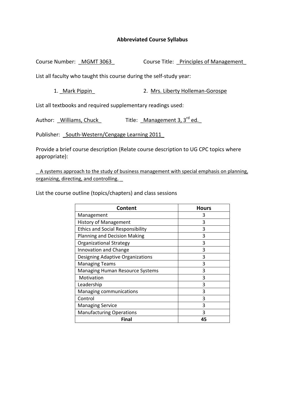Course Number: MGMT 3063 Course Title: Principles of Management

List all faculty who taught this course during the self‐study year:

1. Mark Pippin <br>2. Mrs. Liberty Holleman-Gorospe

List all textbooks and required supplementary readings used:

Author: Williams, Chuck  $\qquad$  Title: Management 3, 3<sup>rd</sup> ed.

Publisher: South-Western/Cengage Learning 2011

Provide a brief course description (Relate course description to UG CPC topics where appropriate):

A systems approach to the study of business management with special emphasis on planning, organizing, directing, and controlling. \_

| <b>Content</b>                          | <b>Hours</b> |
|-----------------------------------------|--------------|
| Management                              | 3            |
| <b>History of Management</b>            | 3            |
| <b>Ethics and Social Responsibility</b> | 3            |
| <b>Planning and Decision Making</b>     | 3            |
| <b>Organizational Strategy</b>          | 3            |
| <b>Innovation and Change</b>            | 3            |
| Designing Adaptive Organizations        | 3            |
| <b>Managing Teams</b>                   | 3            |
| <b>Managing Human Resource Systems</b>  | 3            |
| Motivation                              | 3            |
| Leadership                              | 3            |
| Managing communications                 | 3            |
| Control                                 | 3            |
| <b>Managing Service</b>                 | 3            |
| <b>Manufacturing Operations</b>         | ੨            |
| Final                                   | 45           |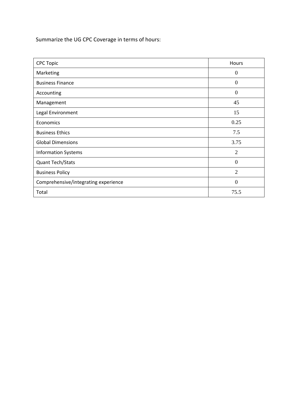| <b>CPC Topic</b>                     | Hours          |
|--------------------------------------|----------------|
| Marketing                            | $\overline{0}$ |
| <b>Business Finance</b>              | $\theta$       |
| Accounting                           | $\theta$       |
| Management                           | 45             |
| Legal Environment                    | 15             |
| Economics                            | 0.25           |
| <b>Business Ethics</b>               | 7.5            |
| <b>Global Dimensions</b>             | 3.75           |
| <b>Information Systems</b>           | $\overline{2}$ |
| Quant Tech/Stats                     | $\theta$       |
| <b>Business Policy</b>               | $\overline{2}$ |
| Comprehensive/integrating experience | $\Omega$       |
| Total                                | 75.5           |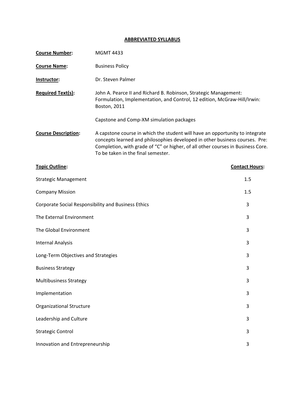## **ABBREVIATED SYLLABUS**

| <b>Course Number:</b>                               | <b>MGMT 4433</b>                                                                                                                                                                                                                                                                     |                       |
|-----------------------------------------------------|--------------------------------------------------------------------------------------------------------------------------------------------------------------------------------------------------------------------------------------------------------------------------------------|-----------------------|
| <b>Course Name:</b>                                 | <b>Business Policy</b>                                                                                                                                                                                                                                                               |                       |
| Instructor:                                         | Dr. Steven Palmer                                                                                                                                                                                                                                                                    |                       |
| <b>Required Text(s):</b>                            | John A. Pearce II and Richard B. Robinson, Strategic Management:<br>Formulation, Implementation, and Control, 12 edition, McGraw-Hill/Irwin:<br>Boston, 2011                                                                                                                         |                       |
|                                                     | Capstone and Comp-XM simulation packages                                                                                                                                                                                                                                             |                       |
| <b>Course Description:</b>                          | A capstone course in which the student will have an opportunity to integrate<br>concepts learned and philosophies developed in other business courses. Pre:<br>Completion, with grade of "C" or higher, of all other courses in Business Core.<br>To be taken in the final semester. |                       |
| <b>Topic Outline:</b>                               |                                                                                                                                                                                                                                                                                      | <b>Contact Hours:</b> |
| <b>Strategic Management</b>                         |                                                                                                                                                                                                                                                                                      | 1.5                   |
| <b>Company Mission</b>                              |                                                                                                                                                                                                                                                                                      | 1.5                   |
| Corporate Social Responsibility and Business Ethics |                                                                                                                                                                                                                                                                                      | 3                     |
| The External Environment                            |                                                                                                                                                                                                                                                                                      | 3                     |
| The Global Environment                              |                                                                                                                                                                                                                                                                                      | 3                     |
| <b>Internal Analysis</b>                            |                                                                                                                                                                                                                                                                                      | 3                     |
| Long-Term Objectives and Strategies                 |                                                                                                                                                                                                                                                                                      | 3                     |
| <b>Business Strategy</b>                            |                                                                                                                                                                                                                                                                                      | 3                     |
| <b>Multibusiness Strategy</b>                       |                                                                                                                                                                                                                                                                                      | 3                     |
| Implementation                                      |                                                                                                                                                                                                                                                                                      | 3                     |
| <b>Organizational Structure</b>                     |                                                                                                                                                                                                                                                                                      | 3                     |
| Leadership and Culture                              |                                                                                                                                                                                                                                                                                      | 3                     |
| <b>Strategic Control</b>                            |                                                                                                                                                                                                                                                                                      | 3                     |
| Innovation and Entrepreneurship                     |                                                                                                                                                                                                                                                                                      | 3                     |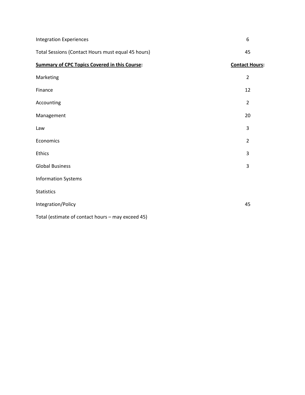| <b>Integration Experiences</b>                       | 6                     |
|------------------------------------------------------|-----------------------|
| Total Sessions (Contact Hours must equal 45 hours)   | 45                    |
| <b>Summary of CPC Topics Covered in this Course:</b> | <b>Contact Hours:</b> |
| Marketing                                            | $\overline{2}$        |
| Finance                                              | 12                    |
| Accounting                                           | $\overline{2}$        |
| Management                                           | 20                    |
| Law                                                  | 3                     |
| Economics                                            | $\overline{2}$        |
| Ethics                                               | 3                     |
| <b>Global Business</b>                               | 3                     |
| <b>Information Systems</b>                           |                       |
| <b>Statistics</b>                                    |                       |
| Integration/Policy                                   | 45                    |
| Total (estimate of contact hours - may exceed 45)    |                       |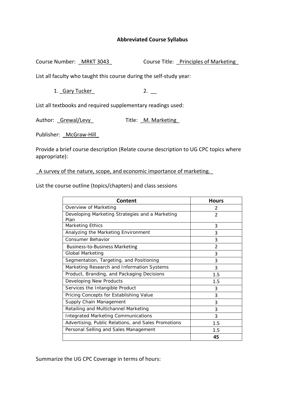Course Number: MRKT 3043 Course Title: Principles of Marketing

List all faculty who taught this course during the self‐study year:

1. Gary Tucker 2. \_\_\_

List all textbooks and required supplementary readings used:

Author: Grewal/Levy Title: M. Marketing

Publisher: McGraw-Hill

Provide a brief course description (Relate course description to UG CPC topics where appropriate):

\_A survey of the nature, scope, and economic importance of marketing.\_

List the course outline (topics/chapters) and class sessions

| Content                                                 | <b>Hours</b>   |
|---------------------------------------------------------|----------------|
| Overview of Marketing                                   | 2              |
| Developing Marketing Strategies and a Marketing<br>Plan | 2              |
| Marketing Ethics                                        | 3              |
| Analyzing the Marketing Environment                     | 3              |
| <b>Consumer Behavior</b>                                | 3              |
| <b>Business-to-Business Marketing</b>                   | $\overline{2}$ |
| Global Marketing                                        | 3              |
| Segmentation, Targeting, and Positioning                | 3              |
| Marketing Research and Information Systems              | 3              |
| Product, Branding, and Packaging Decisions              | 1.5            |
| Developing New Products                                 | 1.5            |
| Services the Intangible Product                         | 3              |
| Pricing Concepts for Establishing Value                 | 3              |
| Supply Chain Management                                 | 3              |
| Retailing and Multichannel Marketing                    | 3              |
| <b>Integrated Marketing Communications</b>              | 3              |
| Advertising, Public Relations, and Sales Promotions     | 1.5            |
| Personal Selling and Sales Management                   | 1.5            |
|                                                         | 45             |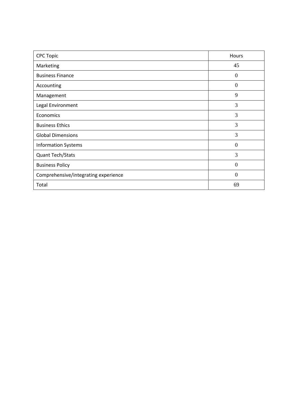| <b>CPC Topic</b>                     | Hours    |
|--------------------------------------|----------|
| Marketing                            | 45       |
| <b>Business Finance</b>              | $\theta$ |
| Accounting                           | $\Omega$ |
| Management                           | 9        |
| Legal Environment                    | 3        |
| Economics                            | 3        |
| <b>Business Ethics</b>               | 3        |
| <b>Global Dimensions</b>             | 3        |
| <b>Information Systems</b>           | $\theta$ |
| <b>Quant Tech/Stats</b>              | 3        |
| <b>Business Policy</b>               | $\Omega$ |
| Comprehensive/integrating experience | $\Omega$ |
| Total                                | 69       |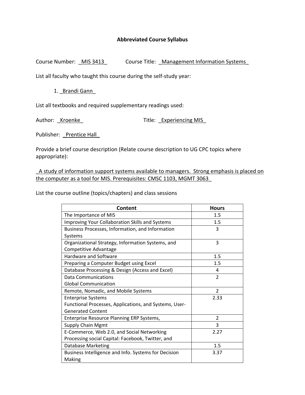Course Number: \_ MIS 3413\_ Course Title: \_ Management Information Systems

List all faculty who taught this course during the self‐study year:

1. Brandi Gann

List all textbooks and required supplementary readings used:

Author: Kroenke **Title:** Experiencing MIS

Publisher: Prentice Hall

Provide a brief course description (Relate course description to UG CPC topics where appropriate):

\_A study of information support systems available to managers. Strong emphasis is placed on the computer as a tool for MIS. Prerequisites: CMSC 1103, MGMT 3063\_

| Content                                                | <b>Hours</b>   |
|--------------------------------------------------------|----------------|
| The Importance of MIS                                  | 1.5            |
| Improving Your Collaboration Skills and Systems        | 1.5            |
| Business Processes, Information, and Information       | 3              |
| Systems                                                |                |
| Organizational Strategy, Information Systems, and      | 3              |
| Competitive Advantage                                  |                |
| Hardware and Software                                  | 1.5            |
| Preparing a Computer Budget using Excel                | 1.5            |
| Database Processing & Design (Access and Excel)        | 4              |
| <b>Data Communications</b>                             | $\overline{2}$ |
| <b>Global Communication</b>                            |                |
| Remote, Nomadic, and Mobile Systems                    | $\overline{2}$ |
| <b>Enterprise Systems</b>                              | 2.33           |
| Functional Processes, Applications, and Systems, User- |                |
| <b>Generated Content</b>                               |                |
| Enterprise Resource Planning ERP Systems,              | 2              |
| <b>Supply Chain Mgmt</b>                               | 3              |
| E-Commerce, Web 2.0, and Social Networking             | 2.27           |
| Processing social Capital: Facebook, Twitter, and      |                |
| <b>Database Marketing</b>                              | 1.5            |
| Business Intelligence and Info. Systems for Decision   | 3.37           |
| Making                                                 |                |